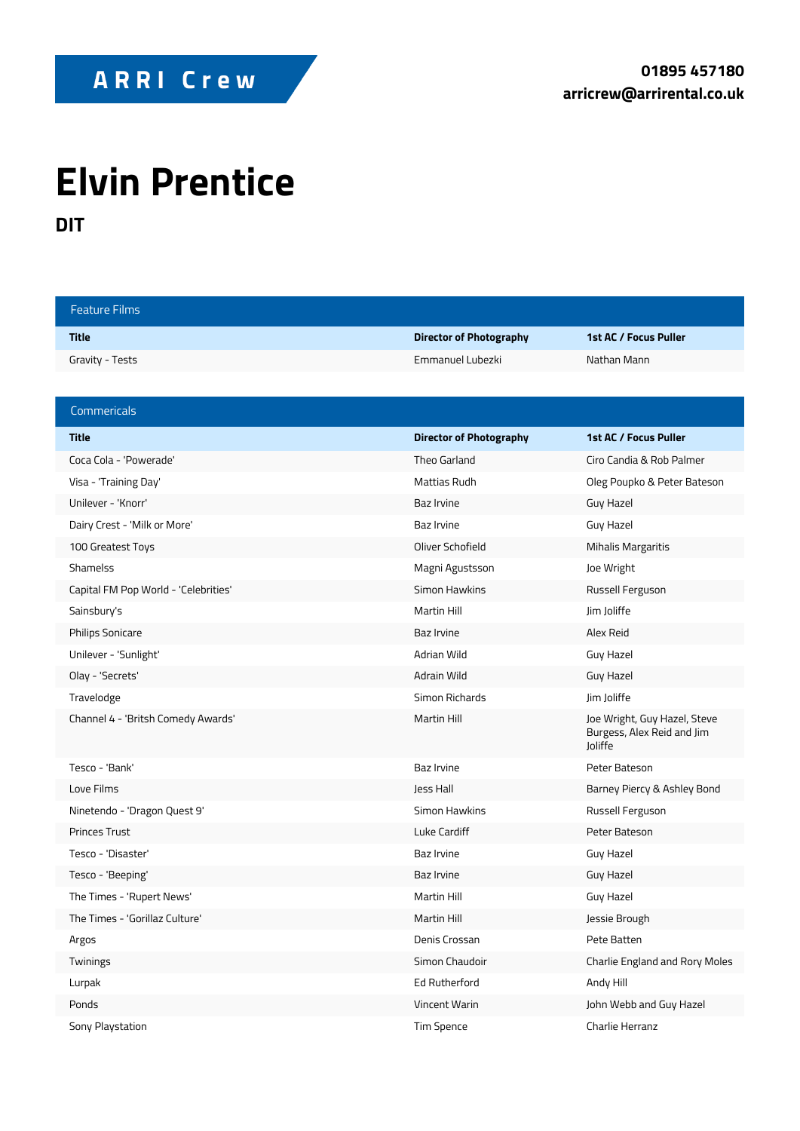## **Elvin Prentice**

**DIT**

| <b>Feature Films</b>                 |                                |                                                                              |
|--------------------------------------|--------------------------------|------------------------------------------------------------------------------|
| <b>Title</b>                         | <b>Director of Photography</b> | 1st AC / Focus Puller                                                        |
| Gravity - Tests                      | Emmanuel Lubezki               | Nathan Mann                                                                  |
|                                      |                                |                                                                              |
| Commericals                          |                                |                                                                              |
| <b>Title</b>                         | <b>Director of Photography</b> | 1st AC / Focus Puller                                                        |
| Coca Cola - 'Powerade'               | Theo Garland                   | Ciro Candia & Rob Palmer                                                     |
| Visa - 'Training Day'                | Mattias Rudh                   | Oleg Poupko & Peter Bateson                                                  |
| Unilever - 'Knorr'                   | <b>Baz Irvine</b>              | Guy Hazel                                                                    |
| Dairy Crest - 'Milk or More'         | Baz Irvine                     | Guy Hazel                                                                    |
| 100 Greatest Toys                    | Oliver Schofield               | <b>Mihalis Margaritis</b>                                                    |
| <b>Shamelss</b>                      | Magni Agustsson                | Joe Wright                                                                   |
| Capital FM Pop World - 'Celebrities' | Simon Hawkins                  | Russell Ferguson                                                             |
| Sainsbury's                          | <b>Martin Hill</b>             | Jim Joliffe                                                                  |
| <b>Philips Sonicare</b>              | Baz Irvine                     | Alex Reid                                                                    |
| Unilever - 'Sunlight'                | Adrian Wild                    | Guy Hazel                                                                    |
| Olay - 'Secrets'                     | Adrain Wild                    | Guy Hazel                                                                    |
| Travelodge                           | Simon Richards                 | Jim Joliffe                                                                  |
| Channel 4 - 'Britsh Comedy Awards'   | <b>Martin Hill</b>             | Joe Wright, Guy Hazel, Steve<br>Burgess, Alex Reid and Jim<br><b>loliffe</b> |
| Tesco - 'Bank'                       | Baz Irvine                     | Peter Bateson                                                                |
| Love Films                           | Jess Hall                      | Barney Piercy & Ashley Bond                                                  |
| Ninetendo - 'Dragon Quest 9'         | Simon Hawkins                  | Russell Ferguson                                                             |
| <b>Princes Trust</b>                 | Luke Cardiff                   | Peter Bateson                                                                |
| Tesco - 'Disaster'                   | Baz Irvine                     | Guy Hazel                                                                    |
| Tesco - 'Beeping'                    | Baz Irvine                     | Guy Hazel                                                                    |
| The Times - 'Rupert News'            | Martin Hill                    | Guy Hazel                                                                    |
| The Times - 'Gorillaz Culture'       | Martin Hill                    | Jessie Brough                                                                |
| Argos                                | Denis Crossan                  | Pete Batten                                                                  |
| Twinings                             | Simon Chaudoir                 | Charlie England and Rory Moles                                               |
| Lurpak                               | Ed Rutherford                  | Andy Hill                                                                    |
| Ponds                                | Vincent Warin                  | John Webb and Guy Hazel                                                      |
| Sony Playstation                     | Tim Spence                     | Charlie Herranz                                                              |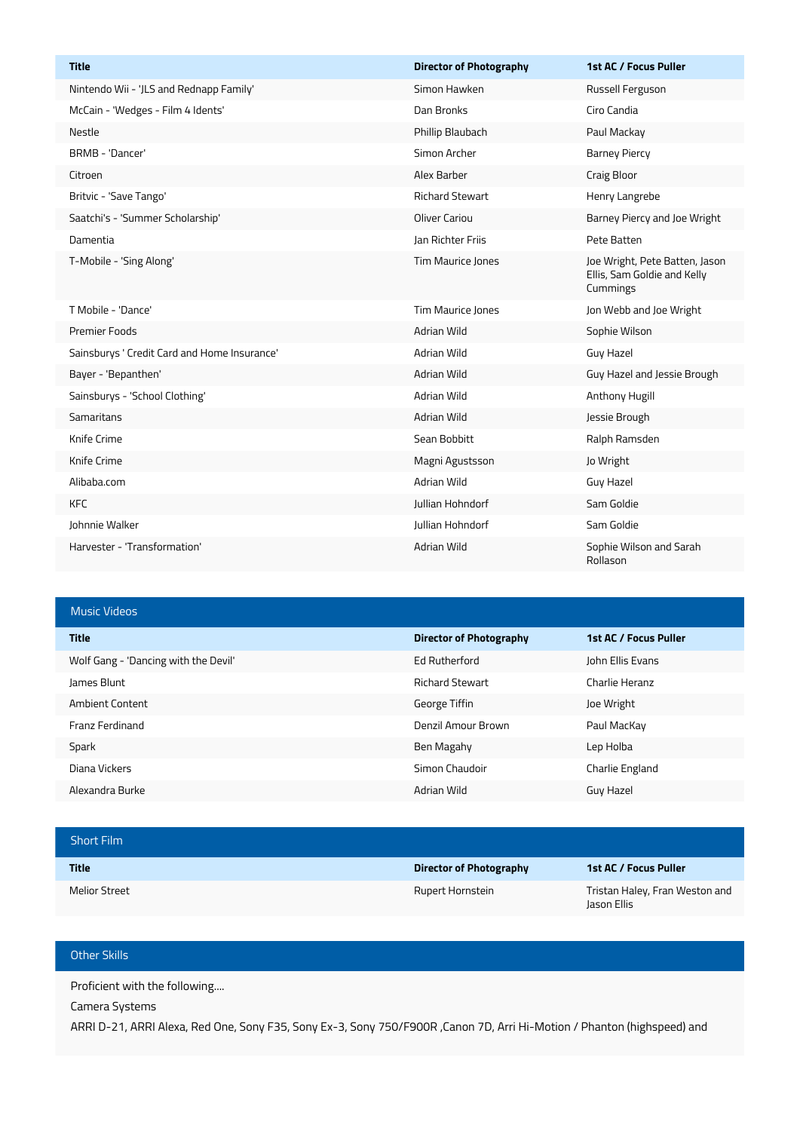| <b>Title</b>                                 | <b>Director of Photography</b> | 1st AC / Focus Puller                                                     |
|----------------------------------------------|--------------------------------|---------------------------------------------------------------------------|
| Nintendo Wii - 'JLS and Rednapp Family'      | Simon Hawken                   | Russell Ferguson                                                          |
| McCain - 'Wedges - Film 4 Idents'            | Dan Bronks                     | Ciro Candia                                                               |
| Nestle                                       | Phillip Blaubach               | Paul Mackay                                                               |
| BRMB - 'Dancer'                              | Simon Archer                   | <b>Barney Piercy</b>                                                      |
| Citroen                                      | Alex Barber                    | Craig Bloor                                                               |
| Britvic - 'Save Tango'                       | <b>Richard Stewart</b>         | Henry Langrebe                                                            |
| Saatchi's - 'Summer Scholarship'             | <b>Oliver Cariou</b>           | Barney Piercy and Joe Wright                                              |
| Damentia                                     | <b>Jan Richter Friis</b>       | Pete Batten                                                               |
| T-Mobile - 'Sing Along'                      | Tim Maurice Jones              | Joe Wright, Pete Batten, Jason<br>Ellis, Sam Goldie and Kelly<br>Cummings |
| T Mobile - 'Dance'                           | Tim Maurice Jones              | Jon Webb and Joe Wright                                                   |
| <b>Premier Foods</b>                         | Adrian Wild                    | Sophie Wilson                                                             |
| Sainsburys ' Credit Card and Home Insurance' | Adrian Wild                    | <b>Guy Hazel</b>                                                          |
| Bayer - 'Bepanthen'                          | Adrian Wild                    | Guy Hazel and Jessie Brough                                               |
| Sainsburys - 'School Clothing'               | Adrian Wild                    | Anthony Hugill                                                            |
| Samaritans                                   | Adrian Wild                    | Jessie Brough                                                             |
| Knife Crime                                  | Sean Bobbitt                   | Ralph Ramsden                                                             |
| Knife Crime                                  | Magni Agustsson                | Jo Wright                                                                 |
| Alibaba.com                                  | Adrian Wild                    | Guy Hazel                                                                 |
| <b>KFC</b>                                   | Jullian Hohndorf               | Sam Goldie                                                                |
| Johnnie Walker                               | Jullian Hohndorf               | Sam Goldie                                                                |
| Harvester - 'Transformation'                 | Adrian Wild                    | Sophie Wilson and Sarah<br>Rollason                                       |

## Music Videos

| <b>Title</b>                         | Director of Photography | 1st AC / Focus Puller |
|--------------------------------------|-------------------------|-----------------------|
| Wolf Gang - 'Dancing with the Devil' | Ed Rutherford           | John Ellis Evans      |
| James Blunt                          | <b>Richard Stewart</b>  | Charlie Heranz        |
| <b>Ambient Content</b>               | George Tiffin           | Joe Wright            |
| Franz Ferdinand                      | Denzil Amour Brown      | Paul MacKay           |
| Spark                                | Ben Magahy              | Lep Holba             |
| Diana Vickers                        | Simon Chaudoir          | Charlie England       |
| Alexandra Burke                      | Adrian Wild             | Guy Hazel             |

| <b>Short Film</b>    |                         |                                               |
|----------------------|-------------------------|-----------------------------------------------|
| <b>Title</b>         | Director of Photography | 1st AC / Focus Puller                         |
| <b>Melior Street</b> | Rupert Hornstein        | Tristan Haley, Fran Weston and<br>Jason Ellis |

## Other Skills

Proficient with the following....

Camera Systems

ARRI D-21, ARRI Alexa, Red One, Sony F35, Sony Ex-3, Sony 750/F900R ,Canon 7D, Arri Hi-Motion / Phanton (highspeed) and